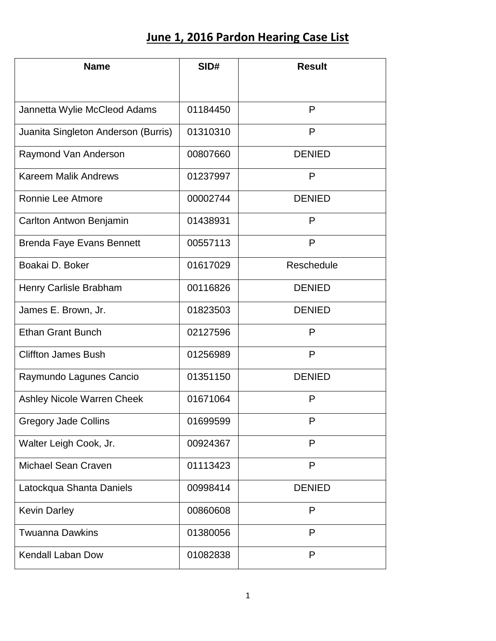## **June 1, 2016 Pardon Hearing Case List**

| <b>Name</b>                         | SID#     | <b>Result</b> |
|-------------------------------------|----------|---------------|
|                                     |          |               |
| Jannetta Wylie McCleod Adams        | 01184450 | P             |
| Juanita Singleton Anderson (Burris) | 01310310 | P             |
| Raymond Van Anderson                | 00807660 | <b>DENIED</b> |
| <b>Kareem Malik Andrews</b>         | 01237997 | P             |
| Ronnie Lee Atmore                   | 00002744 | <b>DENIED</b> |
| Carlton Antwon Benjamin             | 01438931 | P             |
| <b>Brenda Faye Evans Bennett</b>    | 00557113 | P             |
| Boakai D. Boker                     | 01617029 | Reschedule    |
| Henry Carlisle Brabham              | 00116826 | <b>DENIED</b> |
| James E. Brown, Jr.                 | 01823503 | <b>DENIED</b> |
| <b>Ethan Grant Bunch</b>            | 02127596 | P             |
| <b>Cliffton James Bush</b>          | 01256989 | P             |
| Raymundo Lagunes Cancio             | 01351150 | <b>DENIED</b> |
| Ashley Nicole Warren Cheek          | 01671064 | P             |
| <b>Gregory Jade Collins</b>         | 01699599 |               |
| Walter Leigh Cook, Jr.              | 00924367 | P             |
| Michael Sean Craven                 | 01113423 | P             |
| Latockqua Shanta Daniels            | 00998414 | <b>DENIED</b> |
| <b>Kevin Darley</b>                 | 00860608 | P             |
| <b>Twuanna Dawkins</b>              | 01380056 | P             |
| <b>Kendall Laban Dow</b>            | 01082838 | P             |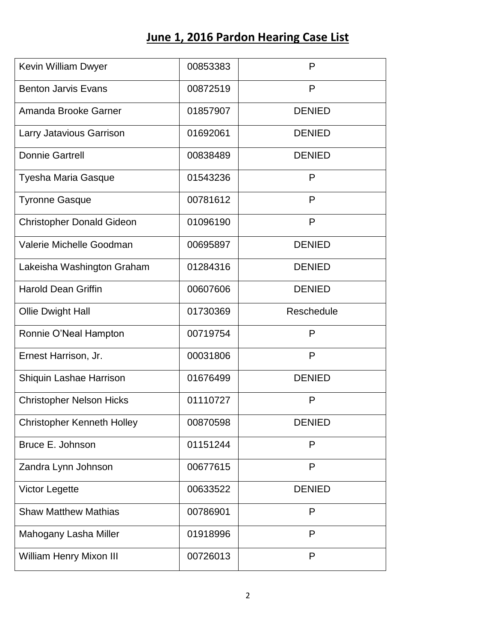## **June 1, 2016 Pardon Hearing Case List**

| Kevin William Dwyer               | 00853383 | P             |
|-----------------------------------|----------|---------------|
| <b>Benton Jarvis Evans</b>        | 00872519 | P             |
| Amanda Brooke Garner              | 01857907 | <b>DENIED</b> |
| Larry Jatavious Garrison          | 01692061 | <b>DENIED</b> |
| <b>Donnie Gartrell</b>            | 00838489 | <b>DENIED</b> |
| Tyesha Maria Gasque               | 01543236 | P             |
| <b>Tyronne Gasque</b>             | 00781612 | P             |
| <b>Christopher Donald Gideon</b>  | 01096190 | P             |
| Valerie Michelle Goodman          | 00695897 | <b>DENIED</b> |
| Lakeisha Washington Graham        | 01284316 | <b>DENIED</b> |
| <b>Harold Dean Griffin</b>        | 00607606 | <b>DENIED</b> |
| <b>Ollie Dwight Hall</b>          | 01730369 | Reschedule    |
| Ronnie O'Neal Hampton             | 00719754 | P             |
| Ernest Harrison, Jr.              | 00031806 | P             |
| Shiquin Lashae Harrison           | 01676499 | <b>DENIED</b> |
| <b>Christopher Nelson Hicks</b>   | 01110727 | P             |
| <b>Christopher Kenneth Holley</b> | 00870598 | <b>DENIED</b> |
| Bruce E. Johnson                  | 01151244 | P             |
| Zandra Lynn Johnson               | 00677615 | P             |
| <b>Victor Legette</b>             | 00633522 | <b>DENIED</b> |
| <b>Shaw Matthew Mathias</b>       | 00786901 | P             |
| Mahogany Lasha Miller             | 01918996 | P             |
| <b>William Henry Mixon III</b>    | 00726013 | P             |